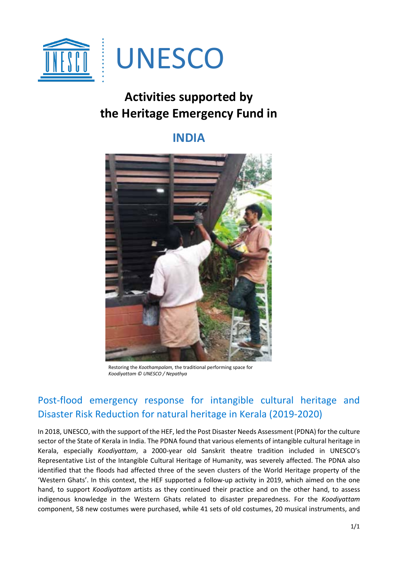

## **Activities supported by the Heritage Emergency Fund in**

## **INDIA**



Restoring the *Koothampalam,* the traditional performing space for *Koodiyattam © UNESCO / Nepathya* 

## Post-flood emergency response for intangible cultural heritage and Disaster Risk Reduction for natural heritage in Kerala (2019-2020)

In 2018, UNESCO, with the support of the HEF, led the Post Disaster Needs Assessment (PDNA) for the culture sector of the State of Kerala in India. The PDNA found that various elements of intangible cultural heritage in Kerala, especially *Koodiyattam*, a 2000-year old Sanskrit theatre tradition included in UNESCO's Representative List of the Intangible Cultural Heritage of Humanity, was severely affected. The PDNA also identified that the floods had affected three of the seven clusters of the World Heritage property of the 'Western Ghats'. In this context, the HEF supported a follow-up activity in 2019, which aimed on the one hand, to support *Koodiyattam* artists as they continued their practice and on the other hand, to assess indigenous knowledge in the Western Ghats related to disaster preparedness. For the *Koodiyattam* component, 58 new costumes were purchased, while 41 sets of old costumes, 20 musical instruments, and